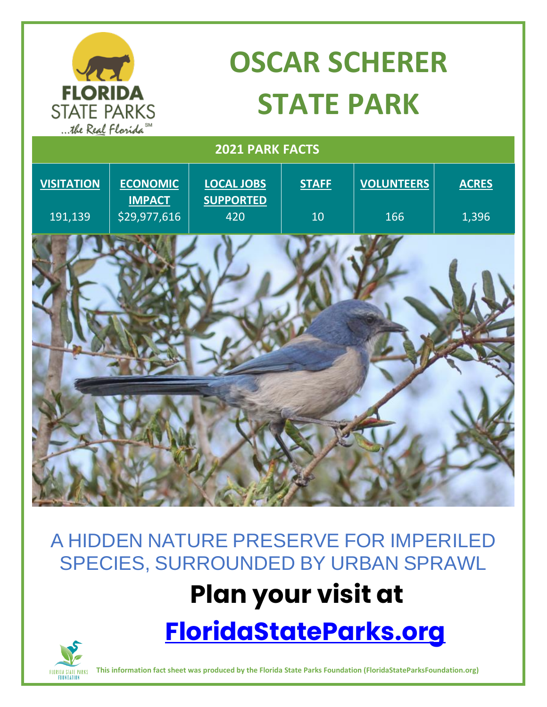

# **OSCAR SCHERER STATE PARK**

| 2021 PARK FACTS   |                                  |                                       |              |                   |              |
|-------------------|----------------------------------|---------------------------------------|--------------|-------------------|--------------|
| <b>VISITATION</b> | <b>ECONOMIC</b><br><b>IMPACT</b> | <b>LOCAL JOBS</b><br><b>SUPPORTED</b> | <b>STAFF</b> | <b>VOLUNTEERS</b> | <b>ACRES</b> |
| 191,139           | \$29,977,616                     | 420                                   | $10\,$       | 166               | 1,396        |
|                   |                                  |                                       |              |                   |              |
|                   |                                  |                                       |              |                   |              |
|                   |                                  |                                       |              |                   |              |
|                   |                                  |                                       |              |                   |              |
|                   |                                  |                                       |              |                   |              |

A HIDDEN NATURE PRESERVE FOR IMPERILED SPECIES, SURROUNDED BY URBAN SPRAWL

## **Plan your visit at**

**[FloridaStateParks.org](http://www.floridastateparks.org/)**



**This information fact sheet was produced by the Florida State Parks Foundation (FloridaStateParksFoundation.org)**